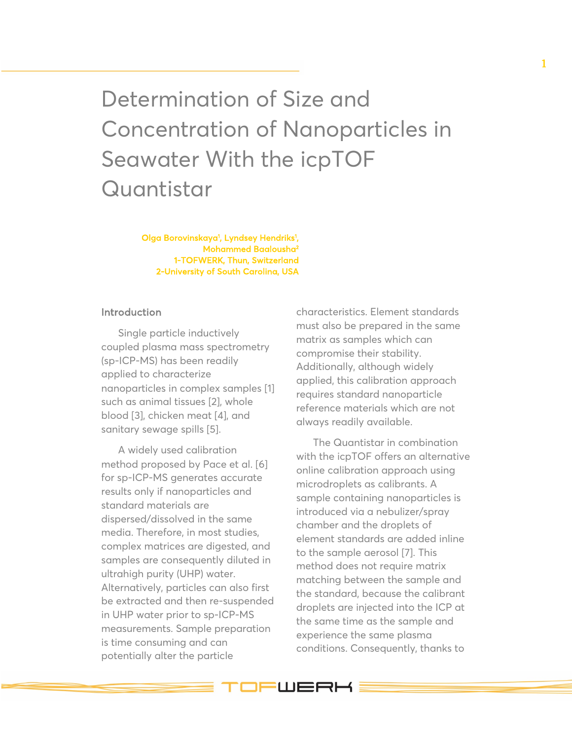Determination of Size and Concentration of Nanoparticles in Seawater With the icpTOF **Quantistar** 

> Olga Borovinskaya<sup>1</sup>, Lyndsey Hendriks<sup>1</sup>, Mohammed Baalousha<sup>2</sup> 1-TOFWERK, Thun, Switzerland 2-University of South Carolina, USA

## Introduction

Single particle inductively coupled plasma mass spectrometry (sp-ICP-MS) has been readily applied to characterize nanoparticles in complex samples [1] such as animal tissues [2], whole blood [3], chicken meat [4], and sanitary sewage spills [5].

A widely used calibration method proposed by Pace et al. [6] for sp-ICP-MS generates accurate results only if nanoparticles and standard materials are dispersed/dissolved in the same media. Therefore, in most studies, complex matrices are digested, and samples are consequently diluted in ultrahigh purity (UHP) water. Alternatively, particles can also first be extracted and then re-suspended in UHP water prior to sp-ICP-MS measurements. Sample preparation is time consuming and can potentially alter the particle

characteristics. Element standards must also be prepared in the same matrix as samples which can compromise their stability. Additionally, although widely applied, this calibration approach requires standard nanoparticle reference materials which are not always readily available.

The Quantistar in combination with the icpTOF offers an alternative online calibration approach using microdroplets as calibrants. A sample containing nanoparticles is introduced via a nebulizer/spray chamber and the droplets of element standards are added inline to the sample aerosol [7]. This method does not require matrix matching between the sample and the standard, because the calibrant droplets are injected into the ICP at the same time as the sample and experience the same plasma conditions. Consequently, thanks to

IFWERK!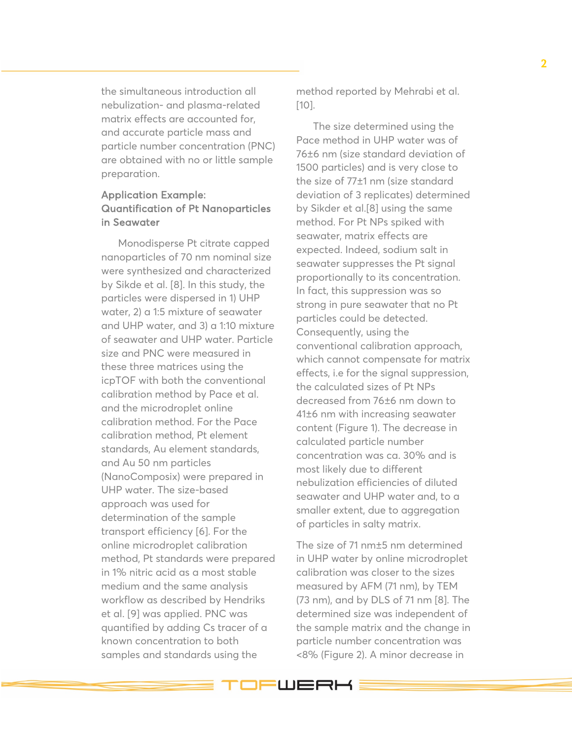the simultaneous introduction all nebulization - and plasma -related matri x effects are accounted for, and accurate particle mass and particle number concentration (PNC) are obtained with no or little sample preparation.

# Application Example: Quantification of Pt Nanoparticles in Seawater

Monodisperse Pt citrate capped nanoparticles of 70 nm nominal size were synthesized and characterized by Sikde et al. [8] . In this study, the particles were dispersed in 1) UHP water , 2) a 1:5 mixture of seawater and UHP water , and 3) a 1:10 mixture of seawater and UHP water. Particle size and PNC were measured in these three matrices using the icpTOF with both the conventional calibration method by Pace et al . and the microdroplet online calibration method . For the Pace calibration method, Pt element standards, Au element standards , and Au 50 nm particles (NanoComposix) were prepared in UHP water. The size -based approach was used for determination of the sample transport efficiency [6] . For the online microdroplet calibration method, Pt standards were prepared in 1% nitric acid as a most stable medium and the same analysis workflow as described by Hendriks et al. [9] was applied. PNC was quantified by adding Cs tracer of a known concentration to both samples and standards using the

method reported by Mehrabi et al. [10] .

The size determined using the Pace method in UHP water was of 76 ± 6 nm (size standard deviation of 1500 particles) and is very close to the size of 77±1 nm (size standard deviation of 3 replicates) determined by Sikder et al.[8] using the same method. For Pt NPs spiked with seawater, matrix effects are expected. Indeed, sodium salt in seawater suppresses the Pt signal proportionally to its concentration. In fact, this suppression was so strong in pure seawater that no Pt particles could be detected . Consequently, using the conventional calibration approach, which cannot compensate for matrix effects, i.e for the signal suppression, the calculated sizes of Pt NPs decreased from 76±6 nm down to 41±6 nm with increasing seawater content (Figure 1). The decrease in calculated particle number concentration was ca. 30% and is most likely due to different nebulization efficiencies of diluted seawater and UHP water and , to a smaller exten t , due to aggregation of particles in salty matrix .

The size of 71 nm ±5 nm determined in UHP water by online microdroplet calibration was close r to the sizes measured by AFM (71 nm ), by TEM (73 nm ), and by DLS of 71 nm [8] . The determined size was independent of the sample matrix and the change in particle number concentration was <8% (Figure 2). A minor decrease in

**JEWERK:**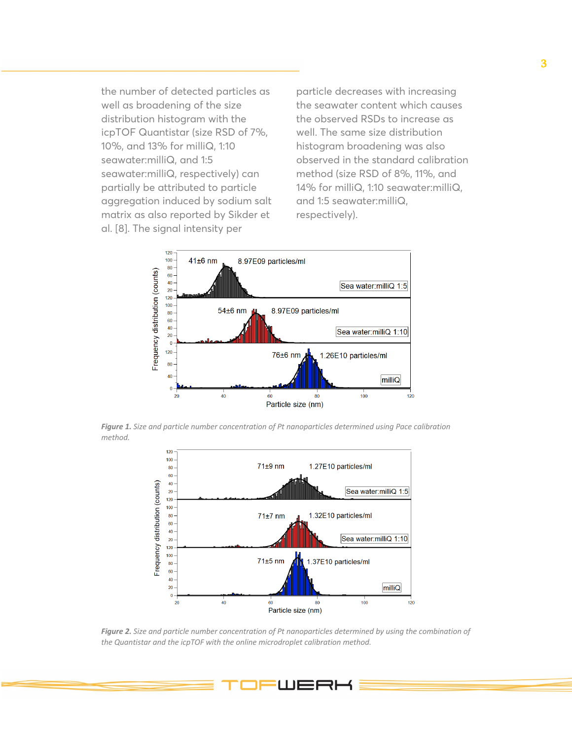the number of detected particles as well as broadening of the size distribution histogram with the icpTOF Quantistar (size RSD of 7%, 10%, and 13% for milliQ, 1:10 seawater:milliQ, and 1:5 seawater:milliQ, respectively) can partially be attributed to particle aggregation induced by sodium salt matrix as also reported by Sikder et al. [8]. The signal intensity per

particle decreases with increasing the seawater content which causes the observed RSDs to increase as well. The same size distribution histogram broadening was also observed in the standard calibration method (size RSD of 8%, 11%, and 14% for milliQ, 1:10 seawater:milliQ, and 1:5 seawater:milliQ, respectively).



*Figure 1. Size and particle number concentration of Pt nanoparticles determined using Pace calibration method.*



*Figure 2. Size and particle number concentration of Pt nanoparticles determined by using the combination of the Quantistar and the icpTOF with the online microdroplet calibration method.*

**FWERK**